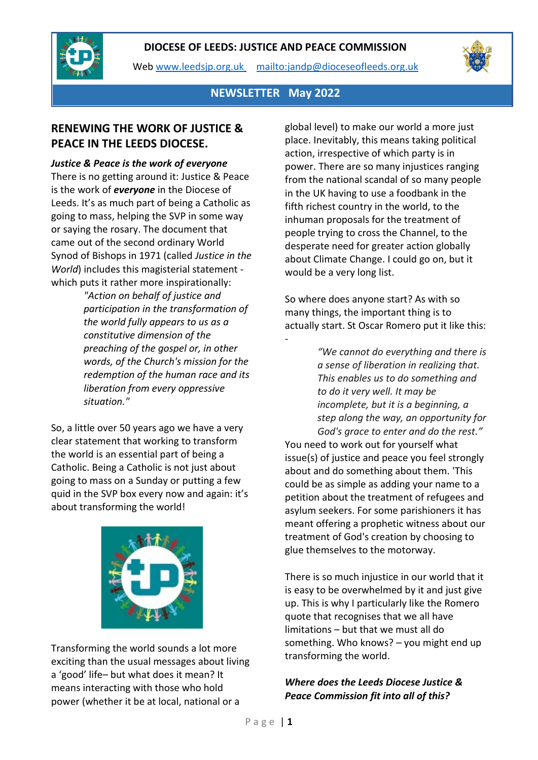



Web [www.leedsjp.org.uk](http://www.leedsjp.org.uk/) <mailto:jandp@dioceseofleeds.org.uk>



# **NEWSLETTER May 2022**

-

# **RENEWING THE WORK OF JUSTICE & PEACE IN THE LEEDS DIOCESE.**

#### *Justice & Peace is the work of everyone*

There is no getting around it: Justice & Peace is the work of *everyone* in the Diocese of Leeds. It's as much part of being a Catholic as going to mass, helping the SVP in some way or saying the rosary. The document that came out of the second ordinary World Synod of Bishops in 1971 (called *Justice in the World*) includes this magisterial statement which puts it rather more inspirationally:

*"Action on behalf of justice and participation in the transformation of the world fully appears to us as a constitutive dimension of the preaching of the gospel or, in other words, of the Church's mission for the redemption of the human race and its liberation from every oppressive situation."*

So, a little over 50 years ago we have a very clear statement that working to transform the world is an essential part of being a Catholic. Being a Catholic is not just about going to mass on a Sunday or putting a few quid in the SVP box every now and again: it's about transforming the world!



Transforming the world sounds a lot more exciting than the usual messages about living a 'good' life– but what does it mean? It means interacting with those who hold power (whether it be at local, national or a

global level) to make our world a more just place. Inevitably, this means taking political action, irrespective of which party is in power. There are so many injustices ranging from the national scandal of so many people in the UK having to use a foodbank in the fifth richest country in the world, to the inhuman proposals for the treatment of people trying to cross the Channel, to the desperate need for greater action globally about Climate Change. I could go on, but it would be a very long list.

So where does anyone start? As with so many things, the important thing is to actually start. St Oscar Romero put it like this:

> *"We cannot do everything and there is a sense of liberation in realizing that. This enables us to do something and to do it very well. It may be incomplete, but it is a beginning, a step along the way, an opportunity for*

*God's grace to enter and do the rest."* You need to work out for yourself what issue(s) of justice and peace you feel strongly about and do something about them. 'This could be as simple as adding your name to a petition about the treatment of refugees and asylum seekers. For some parishioners it has meant offering a prophetic witness about our treatment of God's creation by choosing to glue themselves to the motorway.

There is so much injustice in our world that it is easy to be overwhelmed by it and just give up. This is why I particularly like the Romero quote that recognises that we all have limitations – but that we must all do something. Who knows? – you might end up transforming the world.

### *Where does the Leeds Diocese Justice & Peace Commission fit into all of this?*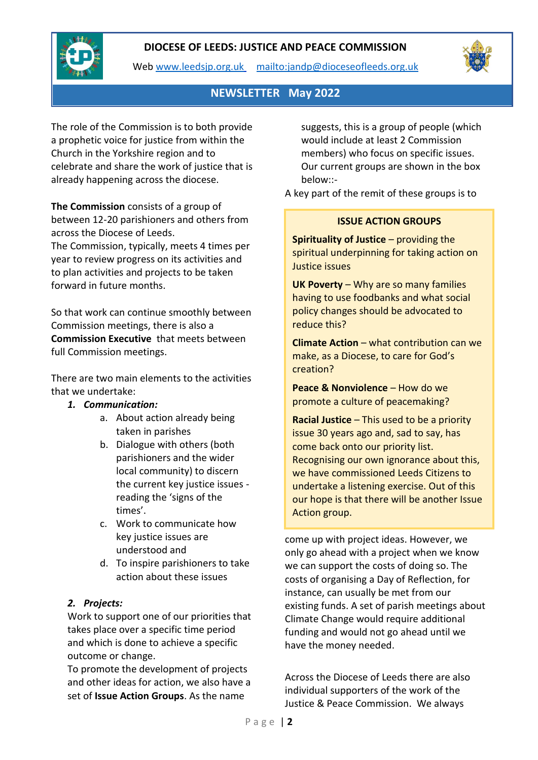

Web [www.leedsjp.org.uk](http://www.leedsjp.org.uk/) <mailto:jandp@dioceseofleeds.org.uk>



# **NEWSLETTER May 2022**

The role of the Commission is to both provide a prophetic voice for justice from within the Church in the Yorkshire region and to celebrate and share the work of justice that is already happening across the diocese.

**The Commission** consists of a group of between 12-20 parishioners and others from across the Diocese of Leeds. The Commission, typically, meets 4 times per year to review progress on its activities and to plan activities and projects to be taken forward in future months.

So that work can continue smoothly between Commission meetings, there is also a **Commission Executive** that meets between full Commission meetings.

There are two main elements to the activities that we undertake:

### *1. Communication:*

- a. About action already being taken in parishes
- b. Dialogue with others (both parishioners and the wider local community) to discern the current key justice issues reading the 'signs of the times'.
- c. Work to communicate how key justice issues are understood and
- d. To inspire parishioners to take action about these issues

### *2. Projects:*

Work to support one of our priorities that takes place over a specific time period and which is done to achieve a specific outcome or change.

To promote the development of projects and other ideas for action, we also have a set of **Issue Action Groups**. As the name

suggests, this is a group of people (which would include at least 2 Commission members) who focus on specific issues. Our current groups are shown in the box below::-

A key part of the remit of these groups is to

#### **ISSUE ACTION GROUPS**

**Spirituality of Justice** – providing the spiritual underpinning for taking action on Justice issues

**UK Poverty** – Why are so many families having to use foodbanks and what social policy changes should be advocated to reduce this?

**Climate Action** – what contribution can we make, as a Diocese, to care for God's creation?

**Peace & Nonviolence** – How do we promote a culture of peacemaking?

**Racial Justice** – This used to be a priority issue 30 years ago and, sad to say, has come back onto our priority list. Recognising our own ignorance about this, we have commissioned Leeds Citizens to undertake a listening exercise. Out of this our hope is that there will be another Issue Action group.

come up with project ideas. However, we only go ahead with a project when we know we can support the costs of doing so. The costs of organising a Day of Reflection, for instance, can usually be met from our existing funds. A set of parish meetings about Climate Change would require additional funding and would not go ahead until we have the money needed.

Across the Diocese of Leeds there are also individual supporters of the work of the Justice & Peace Commission. We always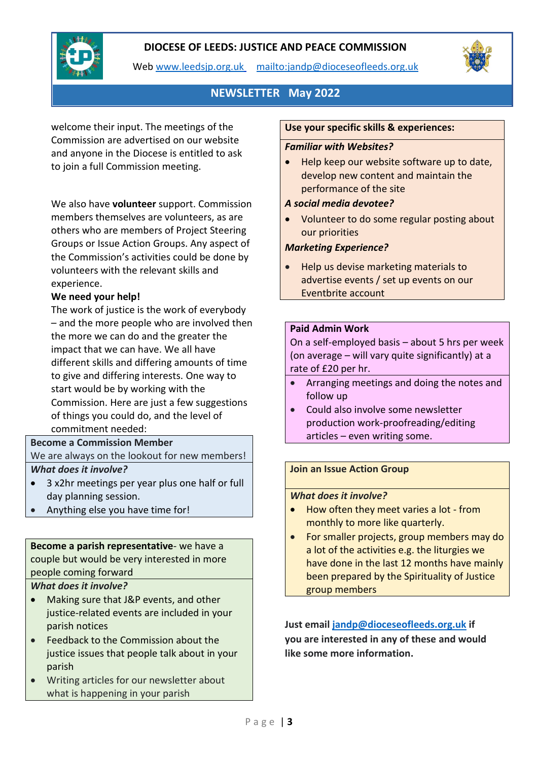

Web [www.leedsjp.org.uk](http://www.leedsjp.org.uk/) <mailto:jandp@dioceseofleeds.org.uk>



# **NEWSLETTER May 2022**

welcome their input. The meetings of the Commission are advertised on our website and anyone in the Diocese is entitled to ask to join a full Commission meeting.

We also have **volunteer** support. Commission members themselves are volunteers, as are others who are members of Project Steering Groups or Issue Action Groups. Any aspect of the Commission's activities could be done by volunteers with the relevant skills and experience.

#### **We need your help!**

The work of justice is the work of everybody – and the more people who are involved then the more we can do and the greater the impact that we can have. We all have different skills and differing amounts of time to give and differing interests. One way to start would be by working with the Commission. Here are just a few suggestions of things you could do, and the level of commitment needed:

#### **Become a Commission Member**

We are always on the lookout for new members! *What does it involve?*

- 3 x2hr meetings per year plus one half or full day planning session.
- Anything else you have time for!

#### **Become a parish representative**- we have a couple but would be very interested in more people coming forward

#### *What does it involve?*

- Making sure that J&P events, and other justice-related events are included in your parish notices
- Feedback to the Commission about the justice issues that people talk about in your parish
- Writing articles for our newsletter about what is happening in your parish

#### **Use your specific skills & experiences:**

#### *Familiar with Websites?*

• Help keep our website software up to date, develop new content and maintain the performance of the site

#### *A social media devotee?*

• Volunteer to do some regular posting about our priorities

#### *Marketing Experience?*

• Help us devise marketing materials to advertise events / set up events on our Eventbrite account

#### **Paid Admin Work**

On a self-employed basis – about 5 hrs per week (on average – will vary quite significantly) at a rate of £20 per hr.

- Arranging meetings and doing the notes and follow up
- Could also involve some newsletter production work-proofreading/editing articles – even writing some.

#### **Join an Issue Action Group**

#### *What does it involve?*

- How often they meet varies a lot from monthly to more like quarterly.
- For smaller projects, group members may do a lot of the activities e.g. the liturgies we have done in the last 12 months have mainly been prepared by the Spirituality of Justice group members

**Just email [jandp@dioceseofleeds.org.uk](mailto:jandp@dioceseofleeds.org.uk) if you are interested in any of these and would like some more information.**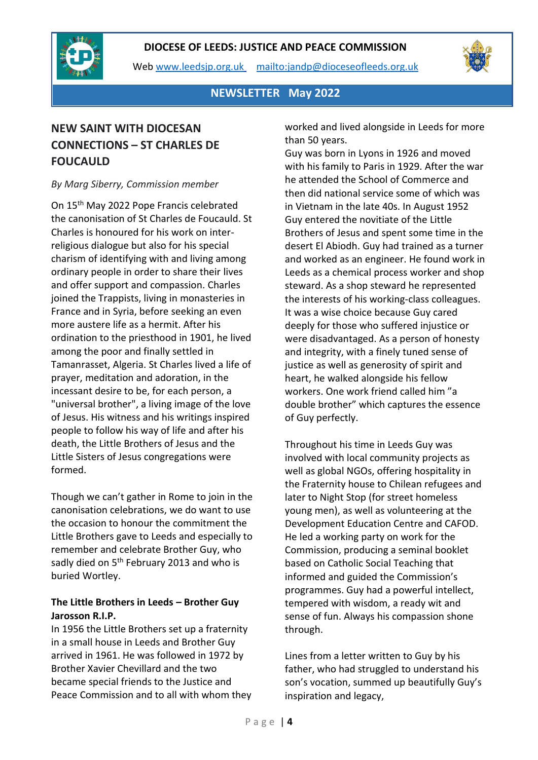

Web [www.leedsjp.org.uk](http://www.leedsjp.org.uk/) <mailto:jandp@dioceseofleeds.org.uk>



**NEWSLETTER May 2022**

# **NEW SAINT WITH DIOCESAN CONNECTIONS – ST CHARLES DE FOUCAULD**

#### *By Marg Siberry, Commission member*

On 15th May 2022 Pope Francis celebrated the canonisation of St Charles de Foucauld. St Charles is honoured for his work on interreligious dialogue but also for his special charism of identifying with and living among ordinary people in order to share their lives and offer support and compassion. Charles joined the Trappists, living in monasteries in France and in Syria, before seeking an even more austere life as a hermit. After his ordination to the priesthood in 1901, he lived among the poor and finally settled in Tamanrasset, Algeria. St Charles lived a life of prayer, meditation and adoration, in the incessant desire to be, for each person, a "universal brother", a living image of the love of Jesus. His witness and his writings inspired people to follow his way of life and after his death, the Little Brothers of Jesus and the Little Sisters of Jesus congregations were formed.

Though we can't gather in Rome to join in the canonisation celebrations, we do want to use the occasion to honour the commitment the Little Brothers gave to Leeds and especially to remember and celebrate Brother Guy, who sadly died on 5<sup>th</sup> February 2013 and who is buried Wortley.

### **The Little Brothers in Leeds – Brother Guy Jarosson R.I.P.**

In 1956 the Little Brothers set up a fraternity in a small house in Leeds and Brother Guy arrived in 1961. He was followed in 1972 by Brother Xavier Chevillard and the two became special friends to the Justice and Peace Commission and to all with whom they worked and lived alongside in Leeds for more than 50 years.

Guy was born in Lyons in 1926 and moved with his family to Paris in 1929. After the war he attended the School of Commerce and then did national service some of which was in Vietnam in the late 40s. In August 1952 Guy entered the novitiate of the Little Brothers of Jesus and spent some time in the desert El Abiodh. Guy had trained as a turner and worked as an engineer. He found work in Leeds as a chemical process worker and shop steward. As a shop steward he represented the interests of his working-class colleagues. It was a wise choice because Guy cared deeply for those who suffered injustice or were disadvantaged. As a person of honesty and integrity, with a finely tuned sense of justice as well as generosity of spirit and heart, he walked alongside his fellow workers. One work friend called him "a double brother" which captures the essence of Guy perfectly.

Throughout his time in Leeds Guy was involved with local community projects as well as global NGOs, offering hospitality in the Fraternity house to Chilean refugees and later to Night Stop (for street homeless young men), as well as volunteering at the Development Education Centre and CAFOD. He led a working party on work for the Commission, producing a seminal booklet based on Catholic Social Teaching that informed and guided the Commission's programmes. Guy had a powerful intellect, tempered with wisdom, a ready wit and sense of fun. Always his compassion shone through.

Lines from a letter written to Guy by his father, who had struggled to understand his son's vocation, summed up beautifully Guy's inspiration and legacy,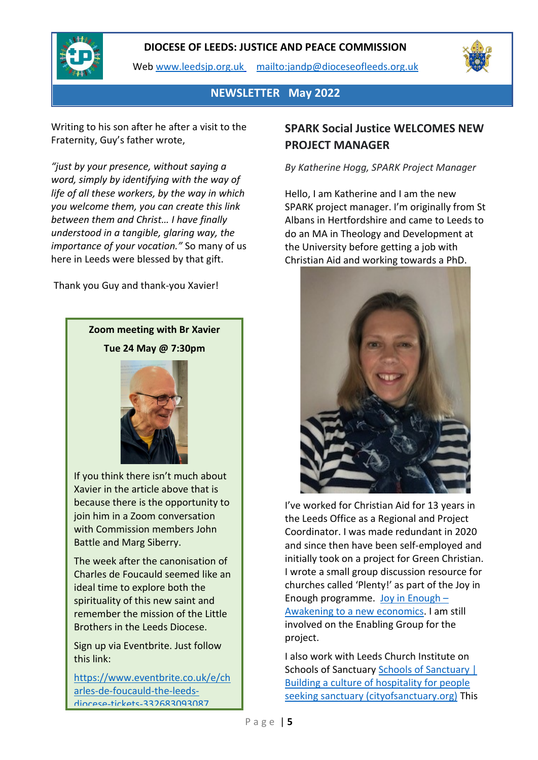

Web [www.leedsjp.org.uk](http://www.leedsjp.org.uk/) <mailto:jandp@dioceseofleeds.org.uk>



# **NEWSLETTER May 2022**

Writing to his son after he after a visit to the Fraternity, Guy's father wrote,

*"just by your presence, without saying a word, simply by identifying with the way of life of all these workers, by the way in which you welcome them, you can create this link between them and Christ… I have finally understood in a tangible, glaring way, the importance of your vocation."* So many of us here in Leeds were blessed by that gift.

Thank you Guy and thank-you Xavier!

# **Zoom meeting with Br Xavier Tue 24 May @ 7:30pm**



If you think there isn't much about Xavier in the article above that is because there is the opportunity to join him in a Zoom conversation with Commission members John Battle and Marg Siberry.

The week after the canonisation of Charles de Foucauld seemed like an ideal time to explore both the spirituality of this new saint and remember the mission of the Little Brothers in the Leeds Diocese.

Sign up via Eventbrite. Just follow this link:

[https://www.eventbrite.co.uk/e/ch](https://www.eventbrite.co.uk/e/charles-de-foucauld-the-leeds-diocese-tickets-332683093087) [arles-de-foucauld-the-leeds](https://www.eventbrite.co.uk/e/charles-de-foucauld-the-leeds-diocese-tickets-332683093087)[diocese-tickets-332683093087](https://www.eventbrite.co.uk/e/charles-de-foucauld-the-leeds-diocese-tickets-332683093087)

# **SPARK Social Justice WELCOMES NEW PROJECT MANAGER**

#### *By Katherine Hogg, SPARK Project Manager*

Hello, I am Katherine and I am the new SPARK project manager. I'm originally from St Albans in Hertfordshire and came to Leeds to do an MA in Theology and Development at the University before getting a job with Christian Aid and working towards a PhD.



I've worked for Christian Aid for 13 years in the Leeds Office as a Regional and Project Coordinator. I was made redundant in 2020 and since then have been self-employed and initially took on a project for Green Christian. I wrote a small group discussion resource for churches called 'Plenty!' as part of the Joy in Enough programme. [Joy in Enough](https://joyinenough.org/) – [Awakening to a new economics.](https://joyinenough.org/) I am still involved on the Enabling Group for the project.

I also work with Leeds Church Institute on Schools of Sanctuary [Schools of Sanctuary |](https://schools.cityofsanctuary.org/)  [Building a culture of hospitality for people](https://schools.cityofsanctuary.org/)  [seeking sanctuary \(cityofsanctuary.org\)](https://schools.cityofsanctuary.org/) This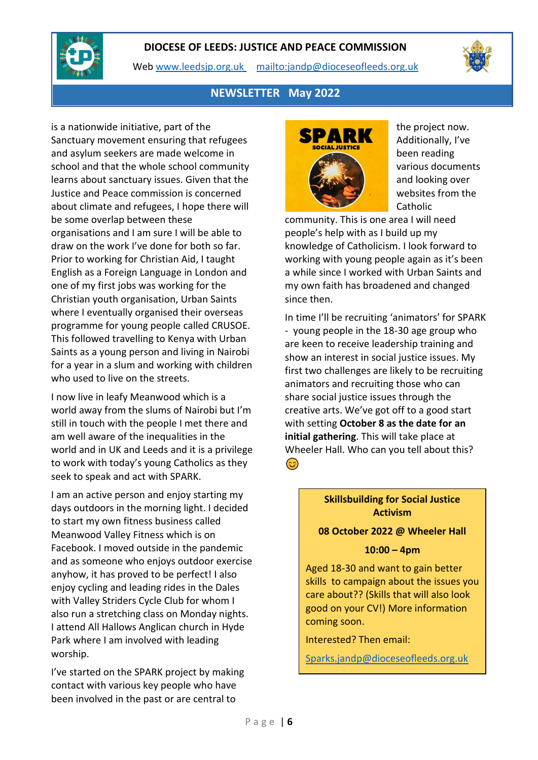

Web [www.leedsjp.org.uk](http://www.leedsjp.org.uk/) <mailto:jandp@dioceseofleeds.org.uk>



# **NEWSLETTER May 2022**

is a nationwide initiative, part of the Sanctuary movement ensuring that refugees and asylum seekers are made welcome in school and that the whole school community learns about sanctuary issues. Given that the Justice and Peace commission is concerned about climate and refugees, I hope there will be some overlap between these organisations and I am sure I will be able to draw on the work I've done for both so far. Prior to working for Christian Aid, I taught English as a Foreign Language in London and one of my first jobs was working for the Christian youth organisation, Urban Saints where I eventually organised their overseas programme for young people called CRUSOE. This followed travelling to Kenya with Urban Saints as a young person and living in Nairobi for a year in a slum and working with children who used to live on the streets.

I now live in leafy Meanwood which is a world away from the slums of Nairobi but I'm still in touch with the people I met there and am well aware of the inequalities in the world and in UK and Leeds and it is a privilege to work with today's young Catholics as they seek to speak and act with SPARK.

I am an active person and enjoy starting my days outdoors in the morning light. I decided to start my own fitness business called Meanwood Valley Fitness which is on Facebook. I moved outside in the pandemic and as someone who enjoys outdoor exercise anyhow, it has proved to be perfect! I also enjoy cycling and leading rides in the Dales with Valley Striders Cycle Club for whom I also run a stretching class on Monday nights. I attend All Hallows Anglican church in Hyde Park where I am involved with leading worship.

I've started on the SPARK project by making contact with various key people who have been involved in the past or are central to



the project now. Additionally, I've been reading various documents and looking over websites from the Catholic

community. This is one area I will need people's help with as I build up my knowledge of Catholicism. I look forward to working with young people again as it's been a while since I worked with Urban Saints and my own faith has broadened and changed since then.

In time I'll be recruiting 'animators' for SPARK - young people in the 18-30 age group who are keen to receive leadership training and show an interest in social justice issues. My first two challenges are likely to be recruiting animators and recruiting those who can share social justice issues through the creative arts. We've got off to a good start with setting **October 8 as the date for an initial gathering**. This will take place at Wheeler Hall. Who can you tell about this? 3

#### **Skillsbuilding for Social Justice Activism**

#### **08 October 2022 @ Wheeler Hall**

#### **10:00 – 4pm**

Aged 18-30 and want to gain better skills to campaign about the issues you care about?? (Skills that will also look good on your CV!) More information coming soon.

#### Interested? Then email:

[Sparks.jandp@dioceseofleeds.org.uk](mailto:Sparks.jandp@dioceseofleeds.org.uk)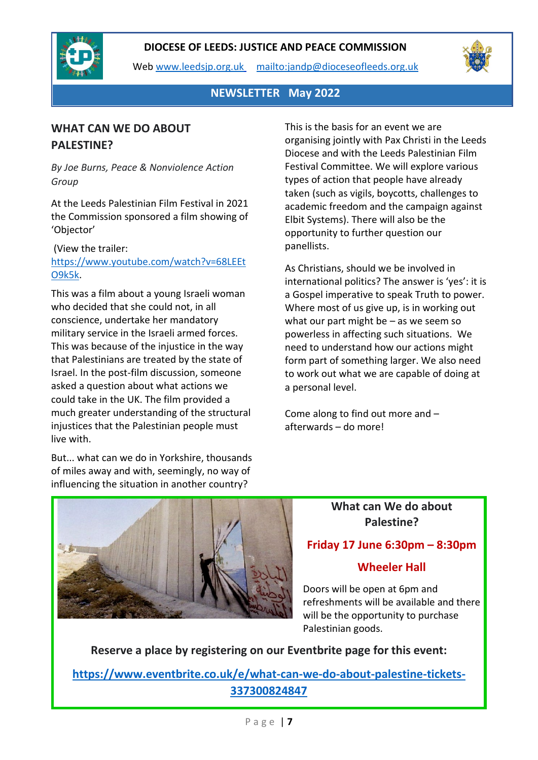

Web [www.leedsjp.org.uk](http://www.leedsjp.org.uk/) <mailto:jandp@dioceseofleeds.org.uk>



**NEWSLETTER May 2022**

# **WHAT CAN WE DO ABOUT PALESTINE?**

*By Joe Burns, Peace & Nonviolence Action Group*

At the Leeds Palestinian Film Festival in 2021 the Commission sponsored a film showing of 'Objector'

(View the trailer:

[https://www.youtube.com/watch?v=68LEEt](https://www.youtube.com/watch?v=68LEEtO9k5k) [O9k5k.](https://www.youtube.com/watch?v=68LEEtO9k5k)

This was a film about a young Israeli woman who decided that she could not, in all conscience, undertake her mandatory military service in the Israeli armed forces. This was because of the injustice in the way that Palestinians are treated by the state of Israel. In the post-film discussion, someone asked a question about what actions we could take in the UK. The film provided a much greater understanding of the structural injustices that the Palestinian people must live with.

But... what can we do in Yorkshire, thousands of miles away and with, seemingly, no way of influencing the situation in another country?

This is the basis for an event we are organising jointly with Pax Christi in the Leeds Diocese and with the Leeds Palestinian Film Festival Committee. We will explore various types of action that people have already taken (such as vigils, boycotts, challenges to academic freedom and the campaign against Elbit Systems). There will also be the opportunity to further question our panellists.

As Christians, should we be involved in international politics? The answer is 'yes': it is a Gospel imperative to speak Truth to power. Where most of us give up, is in working out what our part might be – as we seem so powerless in affecting such situations. We need to understand how our actions might form part of something larger. We also need to work out what we are capable of doing at a personal level.

Come along to find out more and – afterwards – do more!



# **What can We do about Palestine?**

# **Friday 17 June 6:30pm – 8:30pm**

# **Wheeler Hall**

Doors will be open at 6pm and refreshments will be available and there will be the opportunity to purchase Palestinian goods.

**Reserve a place by registering on our Eventbrite page for this event:**

**[https://www.eventbrite.co.uk/e/what-can-we-do-about-palestine-tickets-](https://www.eventbrite.co.uk/e/what-can-we-do-about-palestine-tickets-337300824847)[337300824847](https://www.eventbrite.co.uk/e/what-can-we-do-about-palestine-tickets-337300824847)**